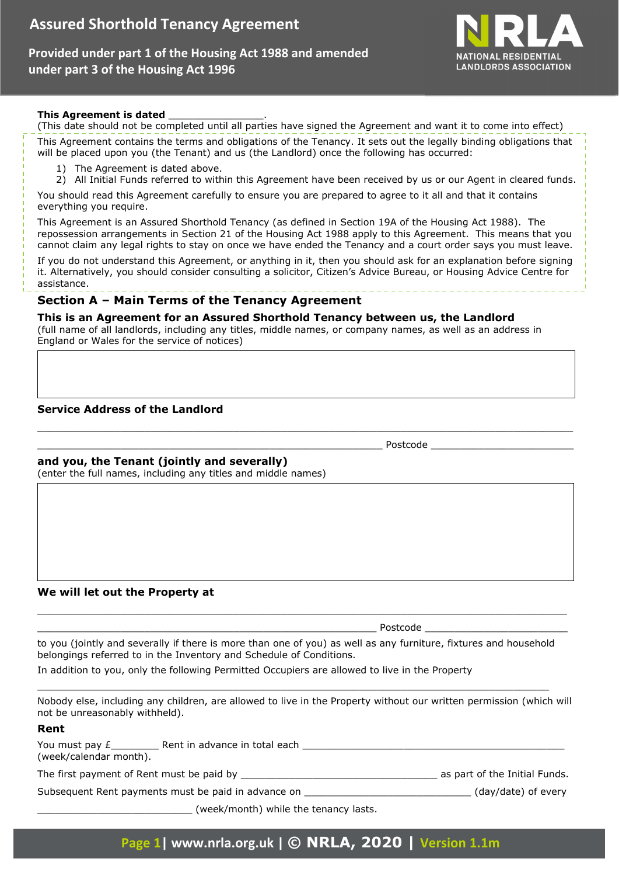**Provided under part 1 of the Housing Act 1988 and amended under part 3 of the Housing Act 1996**



#### **This Agreement is dated** \_\_\_\_\_\_\_\_\_\_\_\_\_\_\_\_.

(This date should not be completed until all parties have signed the Agreement and want it to come into effect) This Agreement contains the terms and obligations of the Tenancy. It sets out the legally binding obligations that will be placed upon you (the Tenant) and us (the Landlord) once the following has occurred:

- 1) The Agreement is dated above.
- 2) All Initial Funds referred to within this Agreement have been received by us or our Agent in cleared funds.

You should read this Agreement carefully to ensure you are prepared to agree to it all and that it contains everything you require.

This Agreement is an Assured Shorthold Tenancy (as defined in Section 19A of the Housing Act 1988). The repossession arrangements in Section 21 of the Housing Act 1988 apply to this Agreement. This means that you cannot claim any legal rights to stay on once we have ended the Tenancy and a court order says you must leave.

If you do not understand this Agreement, or anything in it, then you should ask for an explanation before signing it. Alternatively, you should consider consulting a solicitor, Citizen's Advice Bureau, or Housing Advice Centre for assistance.

\_\_\_\_\_\_\_\_\_\_\_\_\_\_\_\_\_\_\_\_\_\_\_\_\_\_\_\_\_\_\_\_\_\_\_\_\_\_\_\_\_\_\_\_\_\_\_\_\_\_\_\_\_\_\_\_\_\_\_\_\_\_\_\_\_\_\_\_\_\_\_\_\_\_\_\_\_\_\_\_\_\_\_\_\_\_\_\_\_\_

# **Section A – Main Terms of the Tenancy Agreement**

#### **This is an Agreement for an Assured Shorthold Tenancy between us, the Landlord**

(full name of all landlords, including any titles, middle names, or company names, as well as an address in England or Wales for the service of notices)

# **Service Address of the Landlord**

# **and you, the Tenant (jointly and severally)**

(enter the full names, including any titles and middle names)

#### **We will let out the Property at**

to you (jointly and severally if there is more than one of you) as well as any furniture, fixtures and household belongings referred to in the Inventory and Schedule of Conditions.

\_\_\_\_\_\_\_\_\_\_\_\_\_\_\_\_\_\_\_\_\_\_\_\_\_\_\_\_\_\_\_\_\_\_\_\_\_\_\_\_\_\_\_\_\_\_\_\_\_\_\_\_\_\_\_\_\_\_\_\_\_\_\_\_\_\_\_\_\_\_\_\_\_\_\_\_\_\_\_\_\_\_\_\_\_\_

\_\_\_\_\_\_\_\_\_\_\_\_\_\_\_\_\_\_\_\_\_\_\_\_\_\_\_\_\_\_\_\_\_\_\_\_\_\_\_\_\_\_\_\_\_\_\_\_\_\_\_\_\_\_\_\_\_\_\_\_\_\_\_\_\_\_\_\_\_\_\_\_\_\_\_\_\_\_\_\_\_\_\_\_\_\_\_\_\_ \_\_\_\_\_\_\_\_\_\_\_\_\_\_\_\_\_\_\_\_\_\_\_\_\_\_\_\_\_\_\_\_\_\_\_\_\_\_\_\_\_\_\_\_\_\_\_\_\_\_\_\_\_\_\_\_\_ Postcode \_\_\_\_\_\_\_\_\_\_\_\_\_\_\_\_\_\_\_\_\_\_\_\_

In addition to you, only the following Permitted Occupiers are allowed to live in the Property

Nobody else, including any children, are allowed to live in the Property without our written permission (which will not be unreasonably withheld).

#### **Rent**

| You must pay £<br>(week/calendar month).  | Rent in advance in total each                       |                               |
|-------------------------------------------|-----------------------------------------------------|-------------------------------|
| The first payment of Rent must be paid by |                                                     | as part of the Initial Funds. |
|                                           | Subsequent Rent payments must be paid in advance on | (day/date) of every           |

(week/month) while the tenancy lasts.

\_\_\_\_\_\_\_\_\_\_\_\_\_\_\_\_\_\_\_\_\_\_\_\_\_\_\_\_\_\_\_\_\_\_\_\_\_\_\_\_\_\_\_\_\_\_\_\_\_\_\_\_\_\_\_\_\_\_ Postcode \_\_\_\_\_\_\_\_\_\_\_\_\_\_\_\_\_\_\_\_\_\_\_\_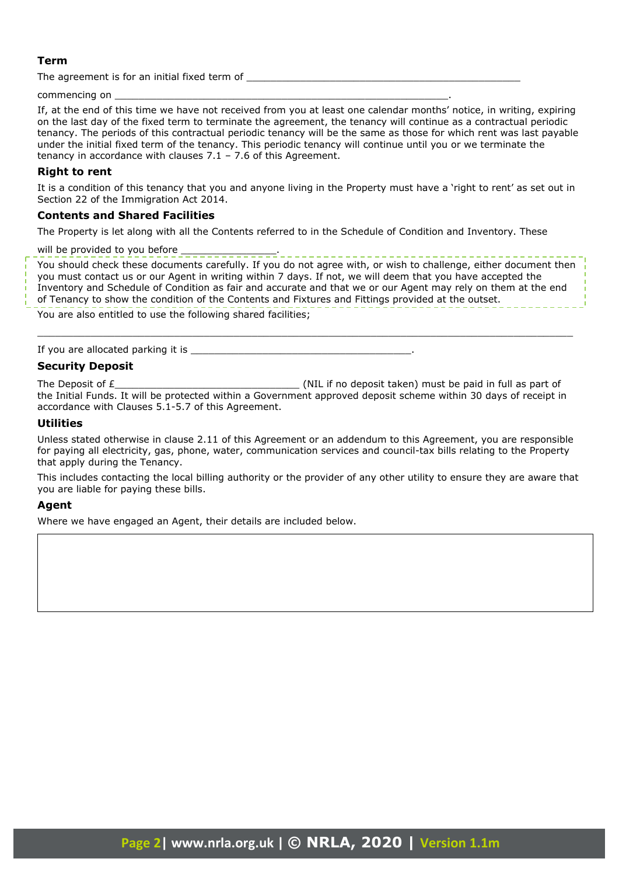# **Term**

The agreement is for an initial fixed term of

commencing on

If, at the end of this time we have not received from you at least one calendar months' notice, in writing, expiring on the last day of the fixed term to terminate the agreement, the tenancy will continue as a contractual periodic tenancy. The periods of this contractual periodic tenancy will be the same as those for which rent was last payable under the initial fixed term of the tenancy. This periodic tenancy will continue until you or we terminate the tenancy in accordance with clauses 7.1 – 7.6 of this Agreement.

# **Right to rent**

It is a condition of this tenancy that you and anyone living in the Property must have a 'right to rent' as set out in Section 22 of the Immigration Act 2014.

#### **Contents and Shared Facilities**

The Property is let along with all the Contents referred to in the Schedule of Condition and Inventory. These

will be provided to you before  $\frac{1}{2}$  =  $\frac{1}{2}$  =  $\frac{1}{2}$  =  $\frac{1}{2}$  =  $\frac{1}{2}$  =  $\frac{1}{2}$  =  $\frac{1}{2}$  =  $\frac{1}{2}$  =  $\frac{1}{2}$  =  $\frac{1}{2}$  =  $\frac{1}{2}$  =  $\frac{1}{2}$  =  $\frac{1}{2}$  =  $\frac{1}{2}$  =  $\frac{1}{2}$  =  $\frac{1}{2}$ 

You should check these documents carefully. If you do not agree with, or wish to challenge, either document then you must contact us or our Agent in writing within 7 days. If not, we will deem that you have accepted the Inventory and Schedule of Condition as fair and accurate and that we or our Agent may rely on them at the end of Tenancy to show the condition of the Contents and Fixtures and Fittings provided at the outset.

 $\_$  , and the set of the set of the set of the set of the set of the set of the set of the set of the set of the set of the set of the set of the set of the set of the set of the set of the set of the set of the set of th

You are also entitled to use the following shared facilities;

If you are allocated parking it is

# **Security Deposit**

The Deposit of  $E$  and the UP of the UP of the UP of the UP of the Deposit taken) must be paid in full as part of the Initial Funds. It will be protected within a Government approved deposit scheme within 30 days of receipt in accordance with Clauses 5.1-5.7 of this Agreement.

#### **Utilities**

Unless stated otherwise in clause 2.11 of this Agreement or an addendum to this Agreement, you are responsible for paying all electricity, gas, phone, water, communication services and council-tax bills relating to the Property that apply during the Tenancy.

This includes contacting the local billing authority or the provider of any other utility to ensure they are aware that you are liable for paying these bills.

#### **Agent**

Where we have engaged an Agent, their details are included below.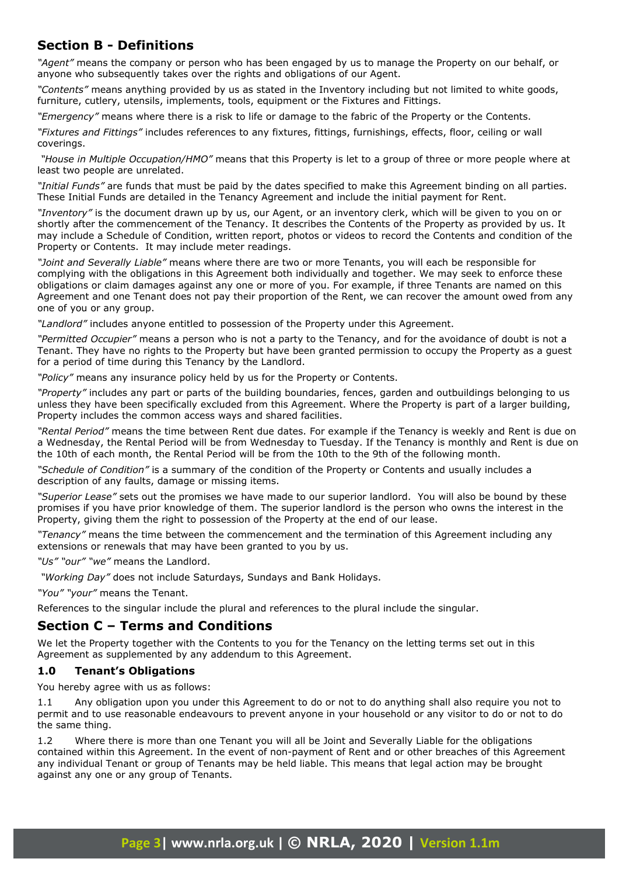# **Section B - Definitions**

*"Agent"* means the company or person who has been engaged by us to manage the Property on our behalf, or anyone who subsequently takes over the rights and obligations of our Agent.

*"Contents"* means anything provided by us as stated in the Inventory including but not limited to white goods, furniture, cutlery, utensils, implements, tools, equipment or the Fixtures and Fittings.

*"Emergency"* means where there is a risk to life or damage to the fabric of the Property or the Contents.

*"Fixtures and Fittings"* includes references to any fixtures, fittings, furnishings, effects, floor, ceiling or wall coverings.

 *"House in Multiple Occupation/HMO"* means that this Property is let to a group of three or more people where at least two people are unrelated.

*"Initial Funds"* are funds that must be paid by the dates specified to make this Agreement binding on all parties. These Initial Funds are detailed in the Tenancy Agreement and include the initial payment for Rent.

*"Inventory"* is the document drawn up by us, our Agent, or an inventory clerk, which will be given to you on or shortly after the commencement of the Tenancy. It describes the Contents of the Property as provided by us. It may include a Schedule of Condition, written report, photos or videos to record the Contents and condition of the Property or Contents. It may include meter readings.

*"Joint and Severally Liable"* means where there are two or more Tenants, you will each be responsible for complying with the obligations in this Agreement both individually and together. We may seek to enforce these obligations or claim damages against any one or more of you. For example, if three Tenants are named on this Agreement and one Tenant does not pay their proportion of the Rent, we can recover the amount owed from any one of you or any group.

*"Landlord"* includes anyone entitled to possession of the Property under this Agreement.

*"Permitted Occupier"* means a person who is not a party to the Tenancy, and for the avoidance of doubt is not a Tenant. They have no rights to the Property but have been granted permission to occupy the Property as a guest for a period of time during this Tenancy by the Landlord.

*"Policy"* means any insurance policy held by us for the Property or Contents.

*"Property"* includes any part or parts of the building boundaries, fences, garden and outbuildings belonging to us unless they have been specifically excluded from this Agreement. Where the Property is part of a larger building, Property includes the common access ways and shared facilities.

*"Rental Period"* means the time between Rent due dates. For example if the Tenancy is weekly and Rent is due on a Wednesday, the Rental Period will be from Wednesday to Tuesday. If the Tenancy is monthly and Rent is due on the 10th of each month, the Rental Period will be from the 10th to the 9th of the following month.

*"Schedule of Condition"* is a summary of the condition of the Property or Contents and usually includes a description of any faults, damage or missing items.

*"Superior Lease"* sets out the promises we have made to our superior landlord. You will also be bound by these promises if you have prior knowledge of them. The superior landlord is the person who owns the interest in the Property, giving them the right to possession of the Property at the end of our lease.

*"Tenancy"* means the time between the commencement and the termination of this Agreement including any extensions or renewals that may have been granted to you by us.

*"Us" "our" "we"* means the Landlord.

 *"Working Day"* does not include Saturdays, Sundays and Bank Holidays.

*"You" "your"* means the Tenant.

References to the singular include the plural and references to the plural include the singular.

# **Section C – Terms and Conditions**

We let the Property together with the Contents to you for the Tenancy on the letting terms set out in this Agreement as supplemented by any addendum to this Agreement.

# **1.0 Tenant's Obligations**

You hereby agree with us as follows:

1.1 Any obligation upon you under this Agreement to do or not to do anything shall also require you not to permit and to use reasonable endeavours to prevent anyone in your household or any visitor to do or not to do the same thing.

1.2 Where there is more than one Tenant you will all be Joint and Severally Liable for the obligations contained within this Agreement. In the event of non-payment of Rent and or other breaches of this Agreement any individual Tenant or group of Tenants may be held liable. This means that legal action may be brought against any one or any group of Tenants.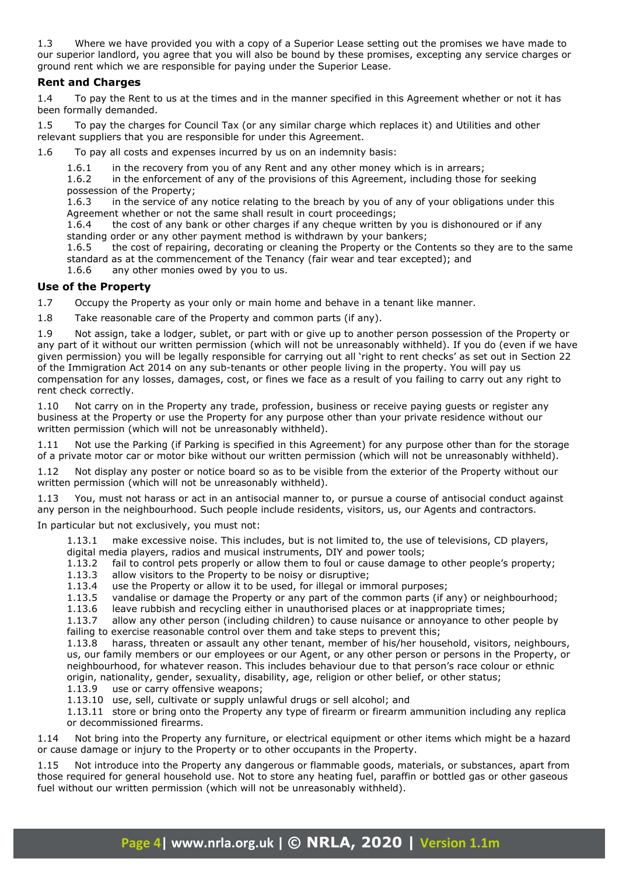1.3 Where we have provided you with a copy of a Superior Lease setting out the promises we have made to our superior landlord, you agree that you will also be bound by these promises, excepting any service charges or ground rent which we are responsible for paying under the Superior Lease.

# **Rent and Charges**

1.4 To pay the Rent to us at the times and in the manner specified in this Agreement whether or not it has been formally demanded.

1.5 To pay the charges for Council Tax (or any similar charge which replaces it) and Utilities and other relevant suppliers that you are responsible for under this Agreement.

1.6 To pay all costs and expenses incurred by us on an indemnity basis:

1.6.1 in the recovery from you of any Rent and any other money which is in arrears;

1.6.2 in the enforcement of any of the provisions of this Agreement, including those for seeking possession of the Property;

1.6.3 in the service of any notice relating to the breach by you of any of your obligations under this Agreement whether or not the same shall result in court proceedings;

1.6.4 the cost of any bank or other charges if any cheque written by you is dishonoured or if any standing order or any other payment method is withdrawn by your bankers;

1.6.5 the cost of repairing, decorating or cleaning the Property or the Contents so they are to the same standard as at the commencement of the Tenancy (fair wear and tear excepted); and

1.6.6 any other monies owed by you to us.

# **Use of the Property**

1.7 Occupy the Property as your only or main home and behave in a tenant like manner.

1.8 Take reasonable care of the Property and common parts (if any).

1.9 Not assign, take a lodger, sublet, or part with or give up to another person possession of the Property or any part of it without our written permission (which will not be unreasonably withheld). If you do (even if we have given permission) you will be legally responsible for carrying out all 'right to rent checks' as set out in Section 22 of the Immigration Act 2014 on any sub-tenants or other people living in the property. You will pay us compensation for any losses, damages, cost, or fines we face as a result of you failing to carry out any right to rent check correctly.

1.10 Not carry on in the Property any trade, profession, business or receive paying guests or register any business at the Property or use the Property for any purpose other than your private residence without our written permission (which will not be unreasonably withheld).

1.11 Not use the Parking (if Parking is specified in this Agreement) for any purpose other than for the storage of a private motor car or motor bike without our written permission (which will not be unreasonably withheld).

1.12 Not display any poster or notice board so as to be visible from the exterior of the Property without our written permission (which will not be unreasonably withheld).

1.13 You, must not harass or act in an antisocial manner to, or pursue a course of antisocial conduct against any person in the neighbourhood. Such people include residents, visitors, us, our Agents and contractors.

In particular but not exclusively, you must not:

1.13.1 make excessive noise. This includes, but is not limited to, the use of televisions, CD players, digital media players, radios and musical instruments, DIY and power tools;

1.13.2 fail to control pets properly or allow them to foul or cause damage to other people's property;

- 1.13.3 allow visitors to the Property to be noisy or disruptive;
- 1.13.4 use the Property or allow it to be used, for illegal or immoral purposes;
- 1.13.5 vandalise or damage the Property or any part of the common parts (if any) or neighbourhood;
- 1.13.6 leave rubbish and recycling either in unauthorised places or at inappropriate times;

1.13.7 allow any other person (including children) to cause nuisance or annoyance to other people by failing to exercise reasonable control over them and take steps to prevent this;

1.13.8 harass, threaten or assault any other tenant, member of his/her household, visitors, neighbours, us, our family members or our employees or our Agent, or any other person or persons in the Property, or neighbourhood, for whatever reason. This includes behaviour due to that person's race colour or ethnic origin, nationality, gender, sexuality, disability, age, religion or other belief, or other status;

1.13.9 use or carry offensive weapons;

1.13.10 use, sell, cultivate or supply unlawful drugs or sell alcohol; and

1.13.11 store or bring onto the Property any type of firearm or firearm ammunition including any replica or decommissioned firearms.

1.14 Not bring into the Property any furniture, or electrical equipment or other items which might be a hazard or cause damage or injury to the Property or to other occupants in the Property.

1.15 Not introduce into the Property any dangerous or flammable goods, materials, or substances, apart from those required for general household use. Not to store any heating fuel, paraffin or bottled gas or other gaseous fuel without our written permission (which will not be unreasonably withheld).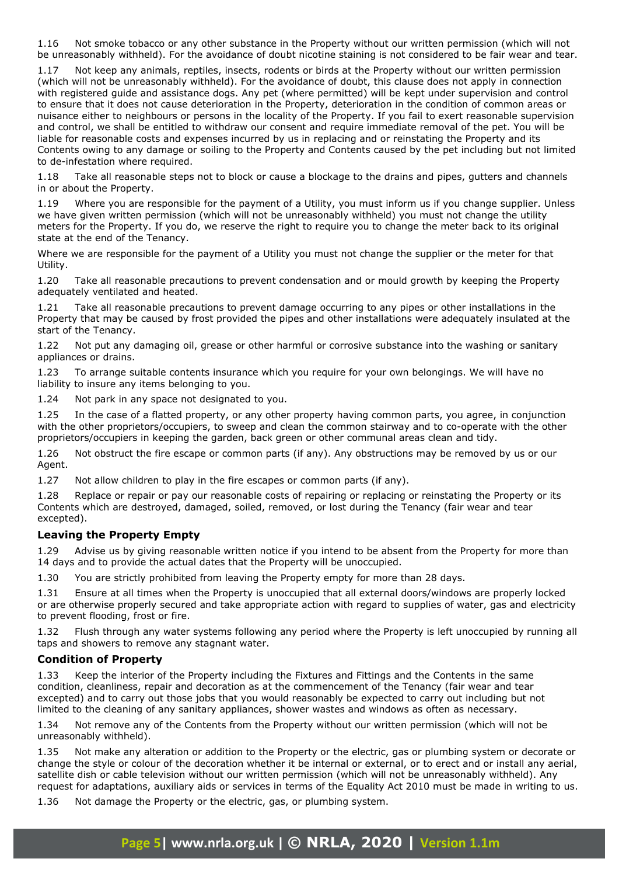1.16 Not smoke tobacco or any other substance in the Property without our written permission (which will not be unreasonably withheld). For the avoidance of doubt nicotine staining is not considered to be fair wear and tear.

1.17 Not keep any animals, reptiles, insects, rodents or birds at the Property without our written permission (which will not be unreasonably withheld). For the avoidance of doubt, this clause does not apply in connection with registered guide and assistance dogs. Any pet (where permitted) will be kept under supervision and control to ensure that it does not cause deterioration in the Property, deterioration in the condition of common areas or nuisance either to neighbours or persons in the locality of the Property. If you fail to exert reasonable supervision and control, we shall be entitled to withdraw our consent and require immediate removal of the pet. You will be liable for reasonable costs and expenses incurred by us in replacing and or reinstating the Property and its Contents owing to any damage or soiling to the Property and Contents caused by the pet including but not limited to de-infestation where required.

1.18 Take all reasonable steps not to block or cause a blockage to the drains and pipes, gutters and channels in or about the Property.

1.19 Where you are responsible for the payment of a Utility, you must inform us if you change supplier. Unless we have given written permission (which will not be unreasonably withheld) you must not change the utility meters for the Property. If you do, we reserve the right to require you to change the meter back to its original state at the end of the Tenancy.

Where we are responsible for the payment of a Utility you must not change the supplier or the meter for that Utility.

1.20 Take all reasonable precautions to prevent condensation and or mould growth by keeping the Property adequately ventilated and heated.

1.21 Take all reasonable precautions to prevent damage occurring to any pipes or other installations in the Property that may be caused by frost provided the pipes and other installations were adequately insulated at the start of the Tenancy.

1.22 Not put any damaging oil, grease or other harmful or corrosive substance into the washing or sanitary appliances or drains.

1.23 To arrange suitable contents insurance which you require for your own belongings. We will have no liability to insure any items belonging to you.

1.24 Not park in any space not designated to you.

1.25 In the case of a flatted property, or any other property having common parts, you agree, in conjunction with the other proprietors/occupiers, to sweep and clean the common stairway and to co-operate with the other proprietors/occupiers in keeping the garden, back green or other communal areas clean and tidy.

1.26 Not obstruct the fire escape or common parts (if any). Any obstructions may be removed by us or our Agent.

1.27 Not allow children to play in the fire escapes or common parts (if any).

1.28 Replace or repair or pay our reasonable costs of repairing or replacing or reinstating the Property or its Contents which are destroyed, damaged, soiled, removed, or lost during the Tenancy (fair wear and tear excepted).

# **Leaving the Property Empty**

1.29 Advise us by giving reasonable written notice if you intend to be absent from the Property for more than 14 days and to provide the actual dates that the Property will be unoccupied.

1.30 You are strictly prohibited from leaving the Property empty for more than 28 days.

1.31 Ensure at all times when the Property is unoccupied that all external doors/windows are properly locked or are otherwise properly secured and take appropriate action with regard to supplies of water, gas and electricity to prevent flooding, frost or fire.

1.32 Flush through any water systems following any period where the Property is left unoccupied by running all taps and showers to remove any stagnant water.

#### **Condition of Property**

1.33 Keep the interior of the Property including the Fixtures and Fittings and the Contents in the same condition, cleanliness, repair and decoration as at the commencement of the Tenancy (fair wear and tear excepted) and to carry out those jobs that you would reasonably be expected to carry out including but not limited to the cleaning of any sanitary appliances, shower wastes and windows as often as necessary.

1.34 Not remove any of the Contents from the Property without our written permission (which will not be unreasonably withheld).

1.35 Not make any alteration or addition to the Property or the electric, gas or plumbing system or decorate or change the style or colour of the decoration whether it be internal or external, or to erect and or install any aerial, satellite dish or cable television without our written permission (which will not be unreasonably withheld). Any request for adaptations, auxiliary aids or services in terms of the Equality Act 2010 must be made in writing to us.

1.36 Not damage the Property or the electric, gas, or plumbing system.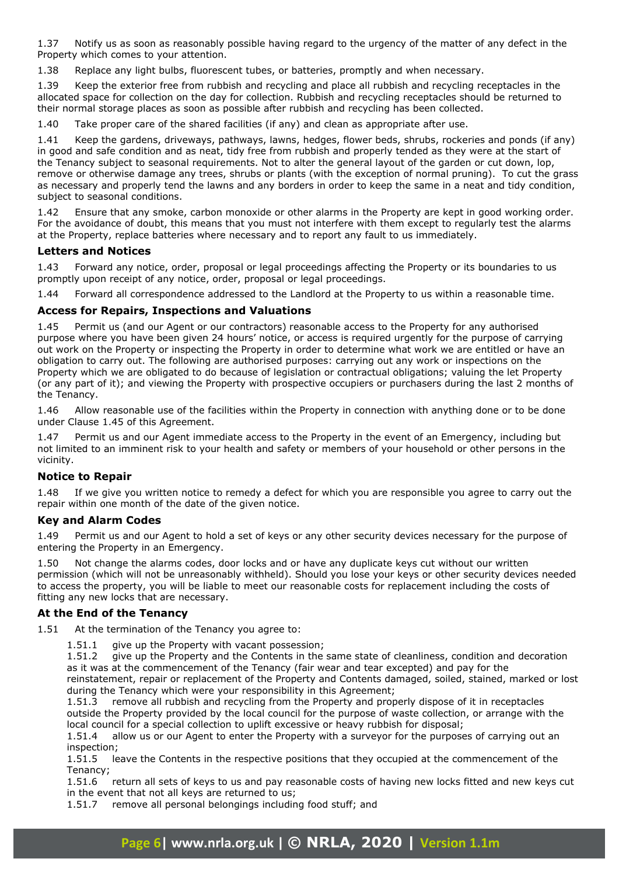1.37 Notify us as soon as reasonably possible having regard to the urgency of the matter of any defect in the Property which comes to your attention.

1.38 Replace any light bulbs, fluorescent tubes, or batteries, promptly and when necessary.

1.39 Keep the exterior free from rubbish and recycling and place all rubbish and recycling receptacles in the allocated space for collection on the day for collection. Rubbish and recycling receptacles should be returned to their normal storage places as soon as possible after rubbish and recycling has been collected.

1.40 Take proper care of the shared facilities (if any) and clean as appropriate after use.

1.41 Keep the gardens, driveways, pathways, lawns, hedges, flower beds, shrubs, rockeries and ponds (if any) in good and safe condition and as neat, tidy free from rubbish and properly tended as they were at the start of the Tenancy subject to seasonal requirements. Not to alter the general layout of the garden or cut down, lop, remove or otherwise damage any trees, shrubs or plants (with the exception of normal pruning). To cut the grass as necessary and properly tend the lawns and any borders in order to keep the same in a neat and tidy condition, subject to seasonal conditions.

1.42 Ensure that any smoke, carbon monoxide or other alarms in the Property are kept in good working order. For the avoidance of doubt, this means that you must not interfere with them except to regularly test the alarms at the Property, replace batteries where necessary and to report any fault to us immediately.

#### **Letters and Notices**

1.43 Forward any notice, order, proposal or legal proceedings affecting the Property or its boundaries to us promptly upon receipt of any notice, order, proposal or legal proceedings.

1.44 Forward all correspondence addressed to the Landlord at the Property to us within a reasonable time.

# **Access for Repairs, Inspections and Valuations**

1.45 Permit us (and our Agent or our contractors) reasonable access to the Property for any authorised purpose where you have been given 24 hours' notice, or access is required urgently for the purpose of carrying out work on the Property or inspecting the Property in order to determine what work we are entitled or have an obligation to carry out. The following are authorised purposes: carrying out any work or inspections on the Property which we are obligated to do because of legislation or contractual obligations; valuing the let Property (or any part of it); and viewing the Property with prospective occupiers or purchasers during the last 2 months of the Tenancy.

1.46 Allow reasonable use of the facilities within the Property in connection with anything done or to be done under Clause 1.45 of this Agreement.

1.47 Permit us and our Agent immediate access to the Property in the event of an Emergency, including but not limited to an imminent risk to your health and safety or members of your household or other persons in the vicinity.

# **Notice to Repair**

1.48 If we give you written notice to remedy a defect for which you are responsible you agree to carry out the repair within one month of the date of the given notice.

# **Key and Alarm Codes**

1.49 Permit us and our Agent to hold a set of keys or any other security devices necessary for the purpose of entering the Property in an Emergency.

1.50 Not change the alarms codes, door locks and or have any duplicate keys cut without our written permission (which will not be unreasonably withheld). Should you lose your keys or other security devices needed to access the property, you will be liable to meet our reasonable costs for replacement including the costs of fitting any new locks that are necessary.

# **At the End of the Tenancy**

1.51 At the termination of the Tenancy you agree to:

1.51.1 give up the Property with vacant possession;

1.51.2 give up the Property and the Contents in the same state of cleanliness, condition and decoration as it was at the commencement of the Tenancy (fair wear and tear excepted) and pay for the reinstatement, repair or replacement of the Property and Contents damaged, soiled, stained, marked or lost

during the Tenancy which were your responsibility in this Agreement;

1.51.3 remove all rubbish and recycling from the Property and properly dispose of it in receptacles outside the Property provided by the local council for the purpose of waste collection, or arrange with the local council for a special collection to uplift excessive or heavy rubbish for disposal;

1.51.4 allow us or our Agent to enter the Property with a surveyor for the purposes of carrying out an inspection;

1.51.5 leave the Contents in the respective positions that they occupied at the commencement of the Tenancy;

1.51.6 return all sets of keys to us and pay reasonable costs of having new locks fitted and new keys cut in the event that not all keys are returned to us;

1.51.7 remove all personal belongings including food stuff; and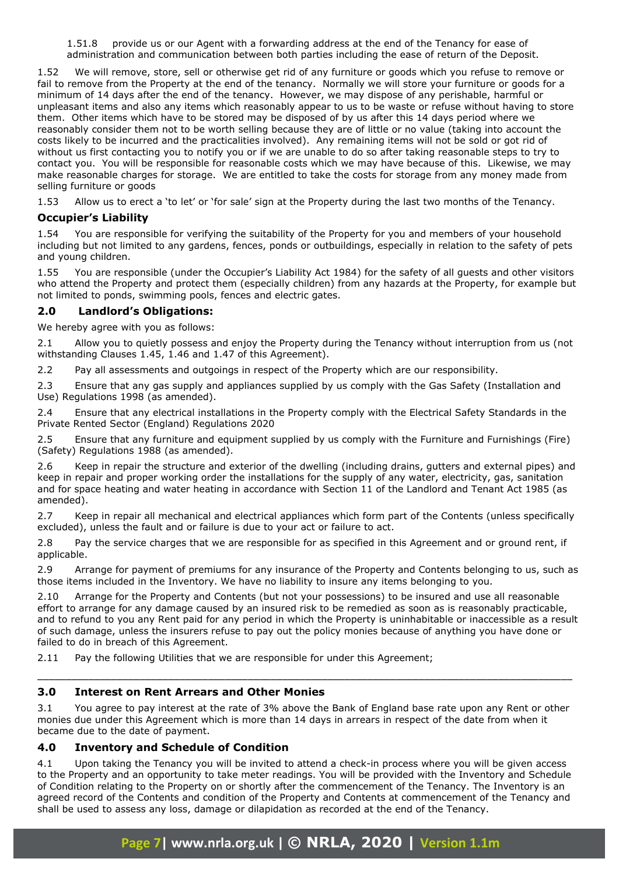1.51.8 provide us or our Agent with a forwarding address at the end of the Tenancy for ease of administration and communication between both parties including the ease of return of the Deposit.

1.52 We will remove, store, sell or otherwise get rid of any furniture or goods which you refuse to remove or fail to remove from the Property at the end of the tenancy. Normally we will store your furniture or goods for a minimum of 14 days after the end of the tenancy. However, we may dispose of any perishable, harmful or unpleasant items and also any items which reasonably appear to us to be waste or refuse without having to store them. Other items which have to be stored may be disposed of by us after this 14 days period where we reasonably consider them not to be worth selling because they are of little or no value (taking into account the costs likely to be incurred and the practicalities involved). Any remaining items will not be sold or got rid of without us first contacting you to notify you or if we are unable to do so after taking reasonable steps to try to contact you. You will be responsible for reasonable costs which we may have because of this. Likewise, we may make reasonable charges for storage. We are entitled to take the costs for storage from any money made from selling furniture or goods

1.53 Allow us to erect a 'to let' or 'for sale' sign at the Property during the last two months of the Tenancy.

# **Occupier's Liability**

1.54 You are responsible for verifying the suitability of the Property for you and members of your household including but not limited to any gardens, fences, ponds or outbuildings, especially in relation to the safety of pets and young children.

1.55 You are responsible (under the Occupier's Liability Act 1984) for the safety of all guests and other visitors who attend the Property and protect them (especially children) from any hazards at the Property, for example but not limited to ponds, swimming pools, fences and electric gates.

# **2.0 Landlord's Obligations:**

We hereby agree with you as follows:

2.1 Allow you to quietly possess and enjoy the Property during the Tenancy without interruption from us (not withstanding Clauses 1.45, 1.46 and 1.47 of this Agreement).

2.2 Pay all assessments and outgoings in respect of the Property which are our responsibility.

2.3 Ensure that any gas supply and appliances supplied by us comply with the Gas Safety (Installation and Use) Regulations 1998 (as amended).

2.4 Ensure that any electrical installations in the Property comply with the Electrical Safety Standards in the Private Rented Sector (England) Regulations 2020

2.5 Ensure that any furniture and equipment supplied by us comply with the Furniture and Furnishings (Fire) (Safety) Regulations 1988 (as amended).

2.6 Keep in repair the structure and exterior of the dwelling (including drains, gutters and external pipes) and keep in repair and proper working order the installations for the supply of any water, electricity, gas, sanitation and for space heating and water heating in accordance with Section 11 of the Landlord and Tenant Act 1985 (as amended).

2.7 Keep in repair all mechanical and electrical appliances which form part of the Contents (unless specifically excluded), unless the fault and or failure is due to your act or failure to act.

2.8 Pay the service charges that we are responsible for as specified in this Agreement and or ground rent, if applicable.

2.9 Arrange for payment of premiums for any insurance of the Property and Contents belonging to us, such as those items included in the Inventory. We have no liability to insure any items belonging to you.

2.10 Arrange for the Property and Contents (but not your possessions) to be insured and use all reasonable effort to arrange for any damage caused by an insured risk to be remedied as soon as is reasonably practicable, and to refund to you any Rent paid for any period in which the Property is uninhabitable or inaccessible as a result of such damage, unless the insurers refuse to pay out the policy monies because of anything you have done or failed to do in breach of this Agreement.

2.11 Pay the following Utilities that we are responsible for under this Agreement;

# **3.0 Interest on Rent Arrears and Other Monies**

3.1 You agree to pay interest at the rate of 3% above the Bank of England base rate upon any Rent or other monies due under this Agreement which is more than 14 days in arrears in respect of the date from when it became due to the date of payment.

\_\_\_\_\_\_\_\_\_\_\_\_\_\_\_\_\_\_\_\_\_\_\_\_\_\_\_\_\_\_\_\_\_\_\_\_\_\_\_\_\_\_\_\_\_\_\_\_\_\_\_\_\_\_\_\_\_\_\_\_\_\_\_\_\_\_\_\_\_\_\_\_\_\_\_\_\_\_\_\_\_\_\_\_\_\_\_\_\_\_\_\_\_\_

# **4.0 Inventory and Schedule of Condition**

4.1 Upon taking the Tenancy you will be invited to attend a check-in process where you will be given access to the Property and an opportunity to take meter readings. You will be provided with the Inventory and Schedule of Condition relating to the Property on or shortly after the commencement of the Tenancy. The Inventory is an agreed record of the Contents and condition of the Property and Contents at commencement of the Tenancy and shall be used to assess any loss, damage or dilapidation as recorded at the end of the Tenancy.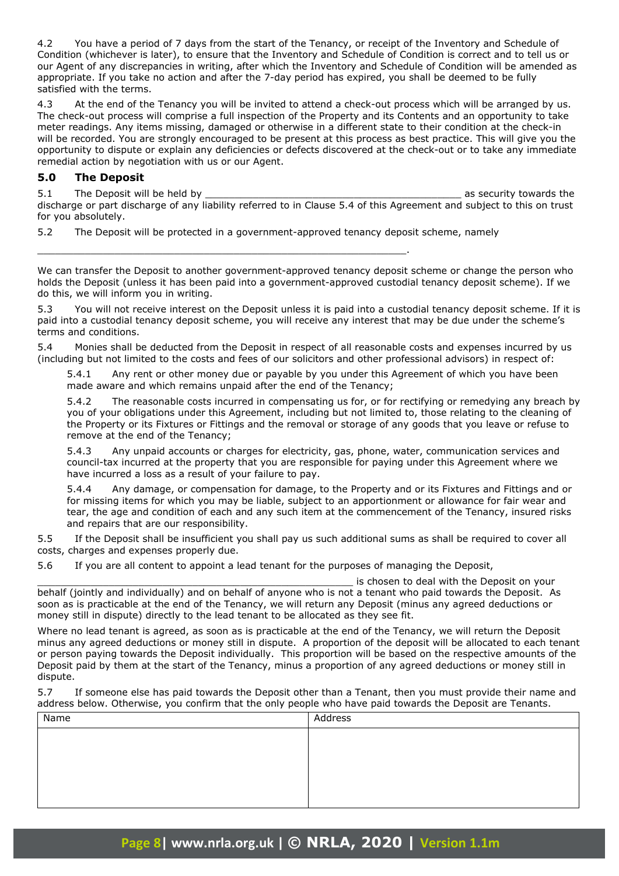4.2 You have a period of 7 days from the start of the Tenancy, or receipt of the Inventory and Schedule of Condition (whichever is later), to ensure that the Inventory and Schedule of Condition is correct and to tell us or our Agent of any discrepancies in writing, after which the Inventory and Schedule of Condition will be amended as appropriate. If you take no action and after the 7-day period has expired, you shall be deemed to be fully satisfied with the terms.

4.3 At the end of the Tenancy you will be invited to attend a check-out process which will be arranged by us. The check-out process will comprise a full inspection of the Property and its Contents and an opportunity to take meter readings. Any items missing, damaged or otherwise in a different state to their condition at the check-in will be recorded. You are strongly encouraged to be present at this process as best practice. This will give you the opportunity to dispute or explain any deficiencies or defects discovered at the check-out or to take any immediate remedial action by negotiation with us or our Agent.

#### **5.0 The Deposit**

5.1 The Deposit will be held by the same security towards the security towards the security towards the security towards the security towards the security towards the security towards the security towards the security towa discharge or part discharge of any liability referred to in Clause 5.4 of this Agreement and subject to this on trust for you absolutely.

5.2 The Deposit will be protected in a government-approved tenancy deposit scheme, namely

\_\_\_\_\_\_\_\_\_\_\_\_\_\_\_\_\_\_\_\_\_\_\_\_\_\_\_\_\_\_\_\_\_\_\_\_\_\_\_\_\_\_\_\_\_\_\_\_\_\_\_\_\_\_\_\_\_\_\_\_\_\_.

We can transfer the Deposit to another government-approved tenancy deposit scheme or change the person who holds the Deposit (unless it has been paid into a government-approved custodial tenancy deposit scheme). If we do this, we will inform you in writing.

5.3 You will not receive interest on the Deposit unless it is paid into a custodial tenancy deposit scheme. If it is paid into a custodial tenancy deposit scheme, you will receive any interest that may be due under the scheme's terms and conditions.

Monies shall be deducted from the Deposit in respect of all reasonable costs and expenses incurred by us (including but not limited to the costs and fees of our solicitors and other professional advisors) in respect of:

5.4.1 Any rent or other money due or payable by you under this Agreement of which you have been made aware and which remains unpaid after the end of the Tenancy;

5.4.2 The reasonable costs incurred in compensating us for, or for rectifying or remedying any breach by you of your obligations under this Agreement, including but not limited to, those relating to the cleaning of the Property or its Fixtures or Fittings and the removal or storage of any goods that you leave or refuse to remove at the end of the Tenancy;

5.4.3 Any unpaid accounts or charges for electricity, gas, phone, water, communication services and council-tax incurred at the property that you are responsible for paying under this Agreement where we have incurred a loss as a result of your failure to pay.

5.4.4 Any damage, or compensation for damage, to the Property and or its Fixtures and Fittings and or for missing items for which you may be liable, subject to an apportionment or allowance for fair wear and tear, the age and condition of each and any such item at the commencement of the Tenancy, insured risks and repairs that are our responsibility.

5.5 If the Deposit shall be insufficient you shall pay us such additional sums as shall be required to cover all costs, charges and expenses properly due.

5.6 If you are all content to appoint a lead tenant for the purposes of managing the Deposit,

is chosen to deal with the Deposit on your behalf (jointly and individually) and on behalf of anyone who is not a tenant who paid towards the Deposit. As soon as is practicable at the end of the Tenancy, we will return any Deposit (minus any agreed deductions or money still in dispute) directly to the lead tenant to be allocated as they see fit.

Where no lead tenant is agreed, as soon as is practicable at the end of the Tenancy, we will return the Deposit minus any agreed deductions or money still in dispute. A proportion of the deposit will be allocated to each tenant or person paying towards the Deposit individually. This proportion will be based on the respective amounts of the Deposit paid by them at the start of the Tenancy, minus a proportion of any agreed deductions or money still in dispute.

5.7 If someone else has paid towards the Deposit other than a Tenant, then you must provide their name and address below. Otherwise, you confirm that the only people who have paid towards the Deposit are Tenants.

| Name | Address |
|------|---------|
|      |         |
|      |         |
|      |         |
|      |         |
|      |         |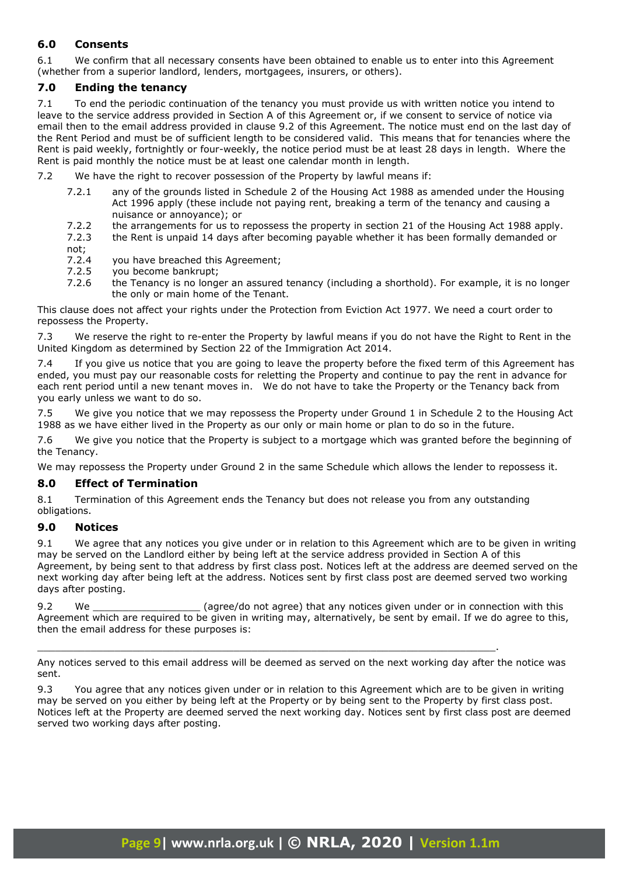# **6.0 Consents**

6.1 We confirm that all necessary consents have been obtained to enable us to enter into this Agreement (whether from a superior landlord, lenders, mortgagees, insurers, or others).

# **7.0 Ending the tenancy**

7.1 To end the periodic continuation of the tenancy you must provide us with written notice you intend to leave to the service address provided in Section A of this Agreement or, if we consent to service of notice via email then to the email address provided in clause 9.2 of this Agreement. The notice must end on the last day of the Rent Period and must be of sufficient length to be considered valid. This means that for tenancies where the Rent is paid weekly, fortnightly or four-weekly, the notice period must be at least 28 days in length. Where the Rent is paid monthly the notice must be at least one calendar month in length.

- 7.2 We have the right to recover possession of the Property by lawful means if:
	- 7.2.1 any of the grounds listed in Schedule 2 of the Housing Act 1988 as amended under the Housing Act 1996 apply (these include not paying rent, breaking a term of the tenancy and causing a nuisance or annoyance); or
	- 7.2.2 the arrangements for us to repossess the property in section 21 of the Housing Act 1988 apply.
	- 7.2.3 the Rent is unpaid 14 days after becoming payable whether it has been formally demanded or not;
	- 7.2.4 you have breached this Agreement;
	- 7.2.5 you become bankrupt;
	- 7.2.6 the Tenancy is no longer an assured tenancy (including a shorthold). For example, it is no longer the only or main home of the Tenant.

This clause does not affect your rights under the Protection from Eviction Act 1977. We need a court order to repossess the Property.

7.3 We reserve the right to re-enter the Property by lawful means if you do not have the Right to Rent in the United Kingdom as determined by Section 22 of the Immigration Act 2014.

7.4 If you give us notice that you are going to leave the property before the fixed term of this Agreement has ended, you must pay our reasonable costs for reletting the Property and continue to pay the rent in advance for each rent period until a new tenant moves in. We do not have to take the Property or the Tenancy back from you early unless we want to do so.

7.5 We give you notice that we may repossess the Property under Ground 1 in Schedule 2 to the Housing Act 1988 as we have either lived in the Property as our only or main home or plan to do so in the future.

7.6 We give you notice that the Property is subject to a mortgage which was granted before the beginning of the Tenancy.

We may repossess the Property under Ground 2 in the same Schedule which allows the lender to repossess it.

# **8.0 Effect of Termination**

8.1 Termination of this Agreement ends the Tenancy but does not release you from any outstanding obligations.

# **9.0 Notices**

9.1 We agree that any notices you give under or in relation to this Agreement which are to be given in writing may be served on the Landlord either by being left at the service address provided in Section A of this Agreement, by being sent to that address by first class post. Notices left at the address are deemed served on the next working day after being left at the address. Notices sent by first class post are deemed served two working days after posting.

9.2 We \_\_\_\_\_\_\_\_\_\_\_\_\_\_\_\_\_\_ (agree/do not agree) that any notices given under or in connection with this Agreement which are required to be given in writing may, alternatively, be sent by email. If we do agree to this, then the email address for these purposes is:

Any notices served to this email address will be deemed as served on the next working day after the notice was sent.

\_\_\_\_\_\_\_\_\_\_\_\_\_\_\_\_\_\_\_\_\_\_\_\_\_\_\_\_\_\_\_\_\_\_\_\_\_\_\_\_\_\_\_\_\_\_\_\_\_\_\_\_\_\_\_\_\_\_\_\_\_\_\_\_\_\_\_\_\_\_\_\_\_\_\_\_\_.

9.3 You agree that any notices given under or in relation to this Agreement which are to be given in writing may be served on you either by being left at the Property or by being sent to the Property by first class post. Notices left at the Property are deemed served the next working day. Notices sent by first class post are deemed served two working days after posting.